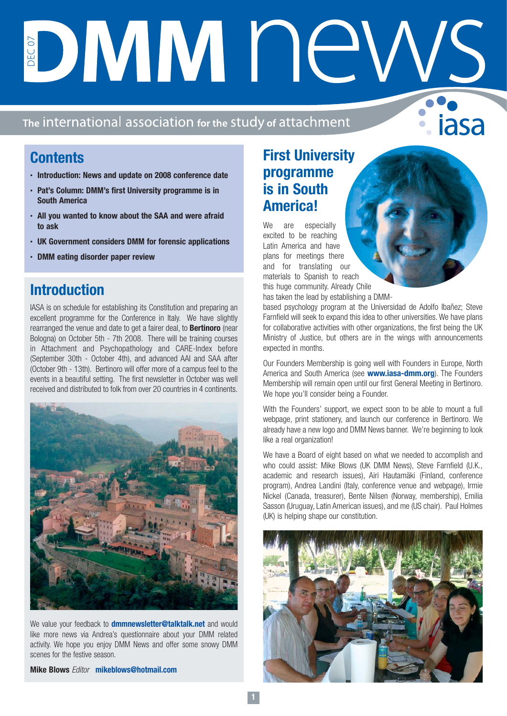# DMMNA

#### The international association for the study of attachment

# **Contents**

- **• Introduction: News and update on 2008 conference date**
- **• Pat's Column: DMM's first University programme is in South America**
- **• All you wanted to know about the SAA and were afraid to ask**
- **• UK Government considers DMM for forensic applications**
- **• DMM eating disorder paper review**

# **Introduction**

IASA is on schedule for establishing its Constitution and preparing an excellent programme for the Conference in Italy. We have slightly rearranged the venue and date to get a fairer deal, to **Bertinoro** (near Bologna) on October 5th - 7th 2008. There will be training courses in Attachment and Psychopathology and CARE-Index before (September 30th - October 4th), and advanced AAI and SAA after (October 9th - 13th). Bertinoro will offer more of a campus feel to the events in a beautiful setting. The first newsletter in October was well received and distributed to folk from over 20 countries in 4 continents.



We value your feedback to **dmmnewsletter@talktalk.net** and would like more news via Andrea's questionnaire about your DMM related activity. We hope you enjoy DMM News and offer some snowy DMM scenes for the festive season.

**Mike Blows** Editor **mikeblows@hotmail.com**

# **First University programme is in South America!**

We are especially excited to be reaching Latin America and have plans for meetings there and for translating our materials to Spanish to reach this huge community. Already Chile has taken the lead by establishing a DMM-

based psychology program at the Universidad de Adolfo Ibañez; Steve Farnfield will seek to expand this idea to other universities. We have plans for collaborative activities with other organizations, the first being the UK Ministry of Justice, but others are in the wings with announcements expected in months.

iasa

Our Founders Membership is going well with Founders in Europe, North America and South America (see **www.iasa-dmm.org**). The Founders Membership will remain open until our first General Meeting in Bertinoro. We hope you'll consider being a Founder.

With the Founders' support, we expect soon to be able to mount a full webpage, print stationery, and launch our conference in Bertinoro. We already have a new logo and DMM News banner. We're beginning to look like a real organization!

We have a Board of eight based on what we needed to accomplish and who could assist: Mike Blows (UK DMM News), Steve Farnfield (U.K., academic and research issues), Airi Hautamäki (Finland, conference program), Andrea Landini (Italy, conference venue and webpage), Irmie Nickel (Canada, treasurer), Bente Nilsen (Norway, membership), Emilia Sasson (Uruguay, Latin American issues), and me (US chair). Paul Holmes (UK) is helping shape our constitution.

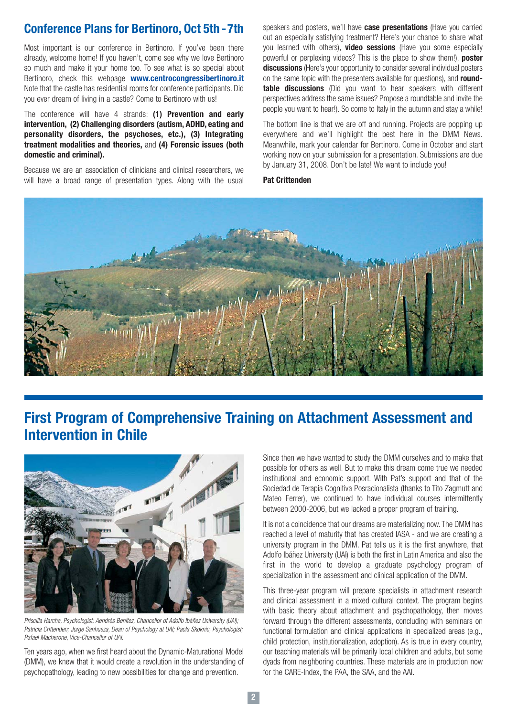#### **Conference Plans for Bertinoro, Oct 5th -7th**

Most important is our conference in Bertinoro. If you've been there already, welcome home! If you haven't, come see why we love Bertinoro so much and make it your home too. To see what is so special about Bertinoro, check this webpage **www.centrocongressibertinoro.it** Note that the castle has residential rooms for conference participants. Did you ever dream of living in a castle? Come to Bertinoro with us!

The conference will have 4 strands: **(1) Prevention and early intervention, (2) Challenging disorders (autism, ADHD, eating and personality disorders, the psychoses, etc.), (3) Integrating treatment modalities and theories,** and **(4) Forensic issues (both domestic and criminal).**

Because we are an association of clinicians and clinical researchers, we will have a broad range of presentation types. Along with the usual speakers and posters, we'll have **case presentations** (Have you carried out an especially satisfying treatment? Here's your chance to share what you learned with others), **video sessions** (Have you some especially powerful or perplexing videos? This is the place to show them!), **poster discussions** (Here's your opportunity to consider several individual posters on the same topic with the presenters available for questions), and **roundtable discussions** (Did you want to hear speakers with different perspectives address the same issues? Propose a roundtable and invite the people you want to hear!). So come to Italy in the autumn and stay a while!

The bottom line is that we are off and running. Projects are popping up everywhere and we'll highlight the best here in the DMM News. Meanwhile, mark your calendar for Bertinoro. Come in October and start working now on your submission for a presentation. Submissions are due by January 31, 2008. Don't be late! We want to include you!

**Pat Crittenden**



# **First Program of Comprehensive Training on Attachment Assessment and Intervention in Chile**



Priscilla Harcha, Psychologist; Aendrés Benítez, Chancellor of Adolfo Ibáñez University (UAI); Patricia Crittenden; Jorge Sanhueza, Dean of Psychology at UAI; Paola Skoknic, Psychologist; Rafael Macherone, Vice-Chancellor of UAI.

Ten years ago, when we first heard about the Dynamic-Maturational Model (DMM), we knew that it would create a revolution in the understanding of psychopathology, leading to new possibilities for change and prevention.

Since then we have wanted to study the DMM ourselves and to make that possible for others as well. But to make this dream come true we needed institutional and economic support. With Pat's support and that of the Sociedad de Terapia Cognitiva Posracionalista (thanks to Tito Zagmutt and Mateo Ferrer), we continued to have individual courses intermittently between 2000-2006, but we lacked a proper program of training.

It is not a coincidence that our dreams are materializing now. The DMM has reached a level of maturity that has created IASA - and we are creating a university program in the DMM. Pat tells us it is the first anywhere, that Adolfo Ibáñez University (UAI) is both the first in Latin America and also the first in the world to develop a graduate psychology program of specialization in the assessment and clinical application of the DMM.

This three-year program will prepare specialists in attachment research and clinical assessment in a mixed cultural context. The program begins with basic theory about attachment and psychopathology, then moves forward through the different assessments, concluding with seminars on functional formulation and clinical applications in specialized areas (e.g., child protection, institutionalization, adoption). As is true in every country, our teaching materials will be primarily local children and adults, but some dyads from neighboring countries. These materials are in production now for the CARE-Index, the PAA, the SAA, and the AAI.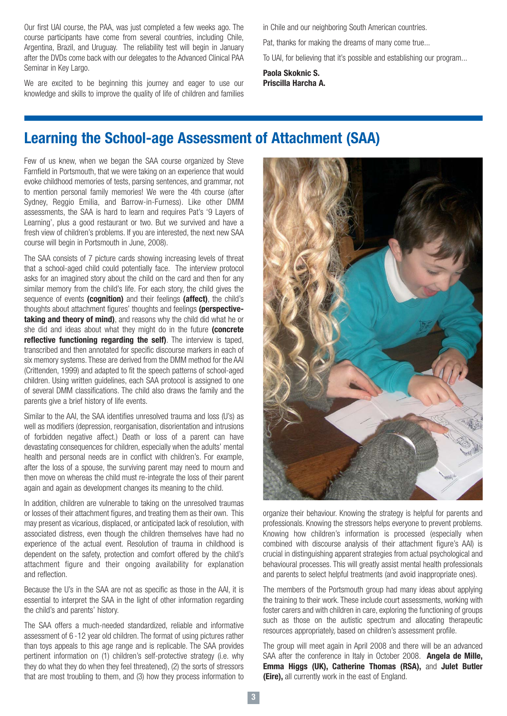Our first UAI course, the PAA, was just completed a few weeks ago. The course participants have come from several countries, including Chile, Argentina, Brazil, and Uruguay. The reliability test will begin in January after the DVDs come back with our delegates to the Advanced Clinical PAA Seminar in Key Largo.

We are excited to be beginning this journey and eager to use our knowledge and skills to improve the quality of life of children and families

in Chile and our neighboring South American countries.

Pat, thanks for making the dreams of many come true...

To UAI, for believing that it's possible and establishing our program...

**Paola Skoknic S. Priscilla Harcha A.**

### **Learning the School-age Assessment of Attachment (SAA)**

Few of us knew, when we began the SAA course organized by Steve Farnfield in Portsmouth, that we were taking on an experience that would evoke childhood memories of tests, parsing sentences, and grammar, not to mention personal family memories! We were the 4th course (after Sydney, Reggio Emilia, and Barrow-in-Furness). Like other DMM assessments, the SAA is hard to learn and requires Pat's '9 Layers of Learning', plus a good restaurant or two. But we survived and have a fresh view of children's problems. If you are interested, the next new SAA course will begin in Portsmouth in June, 2008).

The SAA consists of 7 picture cards showing increasing levels of threat that a school-aged child could potentially face. The interview protocol asks for an imagined story about the child on the card and then for any similar memory from the child's life. For each story, the child gives the sequence of events **(cognition)** and their feelings **(affect)**, the child's thoughts about attachment figures' thoughts and feelings **(perspectivetaking and theory of mind)**, and reasons why the child did what he or she did and ideas about what they might do in the future **(concrete reflective functioning regarding the self)**. The interview is taped, transcribed and then annotated for specific discourse markers in each of six memory systems. These are derived from the DMM method for the AAI (Crittenden, 1999) and adapted to fit the speech patterns of school-aged children. Using written guidelines, each SAA protocol is assigned to one of several DMM classifications. The child also draws the family and the parents give a brief history of life events.

Similar to the AAI, the SAA identifies unresolved trauma and loss (U's) as well as modifiers (depression, reorganisation, disorientation and intrusions of forbidden negative affect.) Death or loss of a parent can have devastating consequences for children, especially when the adults' mental health and personal needs are in conflict with children's. For example, after the loss of a spouse, the surviving parent may need to mourn and then move on whereas the child must re-integrate the loss of their parent again and again as development changes its meaning to the child.

In addition, children are vulnerable to taking on the unresolved traumas or losses of their attachment figures, and treating them as their own. This may present as vicarious, displaced, or anticipated lack of resolution, with associated distress, even though the children themselves have had no experience of the actual event. Resolution of trauma in childhood is dependent on the safety, protection and comfort offered by the child's attachment figure and their ongoing availability for explanation and reflection.

Because the U's in the SAA are not as specific as those in the AAI, it is essential to interpret the SAA in the light of other information regarding the child's and parents' history.

The SAA offers a much-needed standardized, reliable and informative assessment of 6 -12 year old children. The format of using pictures rather than toys appeals to this age range and is replicable. The SAA provides pertinent information on (1) children's self-protective strategy (i.e. why they do what they do when they feel threatened), (2) the sorts of stressors that are most troubling to them, and (3) how they process information to



organize their behaviour. Knowing the strategy is helpful for parents and professionals. Knowing the stressors helps everyone to prevent problems. Knowing how children's information is processed (especially when combined with discourse analysis of their attachment figure's AAI) is crucial in distinguishing apparent strategies from actual psychological and behavioural processes. This will greatly assist mental health professionals and parents to select helpful treatments (and avoid inappropriate ones).

The members of the Portsmouth group had many ideas about applying the training to their work. These include court assessments, working with foster carers and with children in care, exploring the functioning of groups such as those on the autistic spectrum and allocating therapeutic resources appropriately, based on children's assessment profile.

The group will meet again in April 2008 and there will be an advanced SAA after the conference in Italy in October 2008. **Angela de Mille, Emma Higgs (UK), Catherine Thomas (RSA),** and **Julet Butler (Eire),** all currently work in the east of England.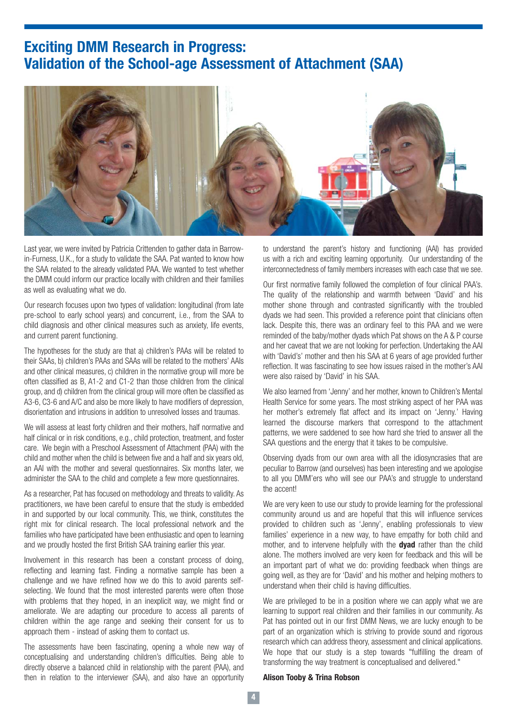### **Exciting DMM Research in Progress: Validation of the School-age Assessment of Attachment (SAA)**



Last year, we were invited by Patricia Crittenden to gather data in Barrowin-Furness, U.K., for a study to validate the SAA. Pat wanted to know how the SAA related to the already validated PAA. We wanted to test whether the DMM could inform our practice locally with children and their families as well as evaluating what we do.

Our research focuses upon two types of validation: longitudinal (from late pre-school to early school years) and concurrent, i.e., from the SAA to child diagnosis and other clinical measures such as anxiety, life events, and current parent functioning.

The hypotheses for the study are that a) children's PAAs will be related to their SAAs, b) children's PAAs and SAAs will be related to the mothers' AAIs and other clinical measures, c) children in the normative group will more be often classified as B, A1-2 and C1-2 than those children from the clinical group, and d) children from the clinical group will more often be classified as A3-6, C3-6 and A/C and also be more likely to have modifiers of depression, disorientation and intrusions in addition to unresolved losses and traumas.

We will assess at least forty children and their mothers, half normative and half clinical or in risk conditions, e.g., child protection, treatment, and foster care. We begin with a Preschool Assessment of Attachment (PAA) with the child and mother when the child is between five and a half and six years old, an AAI with the mother and several questionnaires. Six months later, we administer the SAA to the child and complete a few more questionnaires.

As a researcher, Pat has focused on methodology and threats to validity. As practitioners, we have been careful to ensure that the study is embedded in and supported by our local community. This, we think, constitutes the right mix for clinical research. The local professional network and the families who have participated have been enthusiastic and open to learning and we proudly hosted the first British SAA training earlier this year.

Involvement in this research has been a constant process of doing, reflecting and learning fast. Finding a normative sample has been a challenge and we have refined how we do this to avoid parents selfselecting. We found that the most interested parents were often those with problems that they hoped, in an inexplicit way, we might find or ameliorate. We are adapting our procedure to access all parents of children within the age range and seeking their consent for us to approach them - instead of asking them to contact us.

The assessments have been fascinating, opening a whole new way of conceptualising and understanding children's difficulties. Being able to directly observe a balanced child in relationship with the parent (PAA), and then in relation to the interviewer (SAA), and also have an opportunity

to understand the parent's history and functioning (AAI) has provided us with a rich and exciting learning opportunity. Our understanding of the interconnectedness of family members increases with each case that we see.

Our first normative family followed the completion of four clinical PAA's. The quality of the relationship and warmth between 'David' and his mother shone through and contrasted significantly with the troubled dyads we had seen. This provided a reference point that clinicians often lack. Despite this, there was an ordinary feel to this PAA and we were reminded of the baby/mother dyads which Pat shows on the A & P course and her caveat that we are not looking for perfection. Undertaking the AAI with 'David's' mother and then his SAA at 6 years of age provided further reflection. It was fascinating to see how issues raised in the mother's AAI were also raised by 'David' in his SAA.

We also learned from 'Jenny' and her mother, known to Children's Mental Health Service for some years. The most striking aspect of her PAA was her mother's extremely flat affect and its impact on 'Jenny.' Having learned the discourse markers that correspond to the attachment patterns, we were saddened to see how hard she tried to answer all the SAA questions and the energy that it takes to be compulsive.

Observing dyads from our own area with all the idiosyncrasies that are peculiar to Barrow (and ourselves) has been interesting and we apologise to all you DMM'ers who will see our PAA's and struggle to understand the accent!

We are very keen to use our study to provide learning for the professional community around us and are hopeful that this will influence services provided to children such as 'Jenny', enabling professionals to view families' experience in a new way, to have empathy for both child and mother, and to intervene helpfully with the **dyad** rather than the child alone. The mothers involved are very keen for feedback and this will be an important part of what we do: providing feedback when things are going well, as they are for 'David' and his mother and helping mothers to understand when their child is having difficulties.

We are privileged to be in a position where we can apply what we are learning to support real children and their families in our community. As Pat has pointed out in our first DMM News, we are lucky enough to be part of an organization which is striving to provide sound and rigorous research which can address theory, assessment and clinical applications. We hope that our study is a step towards "fulfilling the dream of transforming the way treatment is conceptualised and delivered."

#### **Alison Tooby & Trina Robson**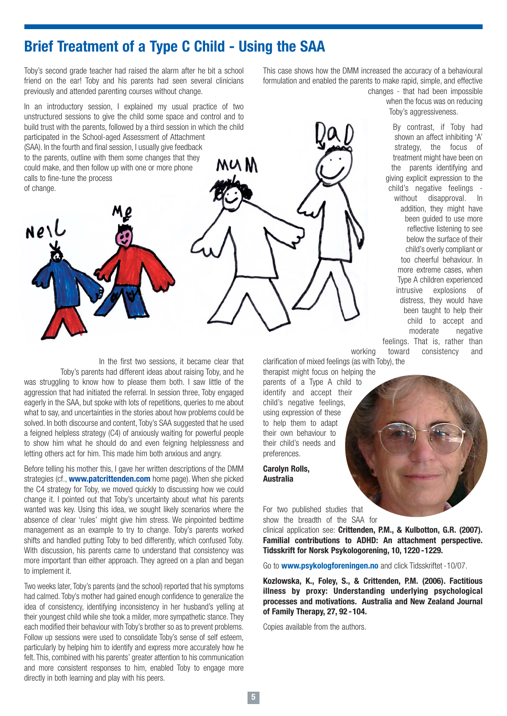#### **Brief Treatment of a Type C Child - Using the SAA**

Toby's second grade teacher had raised the alarm after he bit a school friend on the ear! Toby and his parents had seen several clinicians previously and attended parenting courses without change.

In an introductory session, I explained my usual practice of two unstructured sessions to give the child some space and control and to build trust with the parents, followed by a third session in which the child participated in the School-aged Assessment of Attachment (SAA). In the fourth and final session, I usually give feedback to the parents, outline with them some changes that they MU M could make, and then follow up with one or more phone calls to fine-tune the process of change.

Nell

In the first two sessions, it became clear that Toby's parents had different ideas about raising Toby, and he was struggling to know how to please them both. I saw little of the aggression that had initiated the referral. In session three, Toby engaged eagerly in the SAA, but spoke with lots of repetitions, queries to me about what to say, and uncertainties in the stories about how problems could be solved. In both discourse and content, Toby's SAA suggested that he used a feigned helpless strategy (C4) of anxiously waiting for powerful people to show him what he should do and even feigning helplessness and letting others act for him. This made him both anxious and angry.

Before telling his mother this, I gave her written descriptions of the DMM strategies (cf., **www.patcrittenden.com** home page). When she picked the C4 strategy for Toby, we moved quickly to discussing how we could change it. I pointed out that Toby's uncertainty about what his parents wanted was key. Using this idea, we sought likely scenarios where the absence of clear 'rules' might give him stress. We pinpointed bedtime management as an example to try to change. Toby's parents worked shifts and handled putting Toby to bed differently, which confused Toby. With discussion, his parents came to understand that consistency was more important than either approach. They agreed on a plan and began to implement it.

Two weeks later, Toby's parents (and the school) reported that his symptoms had calmed. Toby's mother had gained enough confidence to generalize the idea of consistency, identifying inconsistency in her husband's yelling at their youngest child while she took a milder, more sympathetic stance. They each modified their behaviour with Toby's brother so as to prevent problems. Follow up sessions were used to consolidate Toby's sense of self esteem, particularly by helping him to identify and express more accurately how he felt. This, combined with his parents' greater attention to his communication and more consistent responses to him, enabled Toby to engage more directly in both learning and play with his peers.

This case shows how the DMM increased the accuracy of a behavioural formulation and enabled the parents to make rapid, simple, and effective

changes - that had been impossible when the focus was on reducing Toby's aggressiveness.

> By contrast, if Toby had shown an affect inhibiting 'A' strategy, the focus of treatment might have been on the parents identifying and giving explicit expression to the child's negative feelings without disapproval. In addition, they might have been guided to use more reflective listening to see below the surface of their child's overly compliant or too cheerful behaviour. In more extreme cases, when Type A children experienced intrusive explosions of distress, they would have been taught to help their child to accept and moderate negative feelings. That is, rather than

working toward consistency and

clarification of mixed feelings (as with Toby), the therapist might focus on helping the parents of a Type A child to identify and accept their child's negative feelings, using expression of these to help them to adapt

**Carolyn Rolls, Australia**

preferences.

their own behaviour to their child's needs and

For two published studies that show the breadth of the SAA for

clinical application see: **Crittenden, P.M., & Kulbotton, G.R. (2007). Familial contributions to ADHD: An attachment perspective. Tidsskrift for Norsk Psykologorening, 10, 1220 -1229.**

Go to **www.psykologforeningen.no** and click Tidsskriftet -10/07.

**Kozlowska, K., Foley, S., & Crittenden, P.M. (2006). Factitious illness by proxy: Understanding underlying psychological processes and motivations. Australia and New Zealand Journal of Family Therapy, 27, 92 -104.**

Copies available from the authors.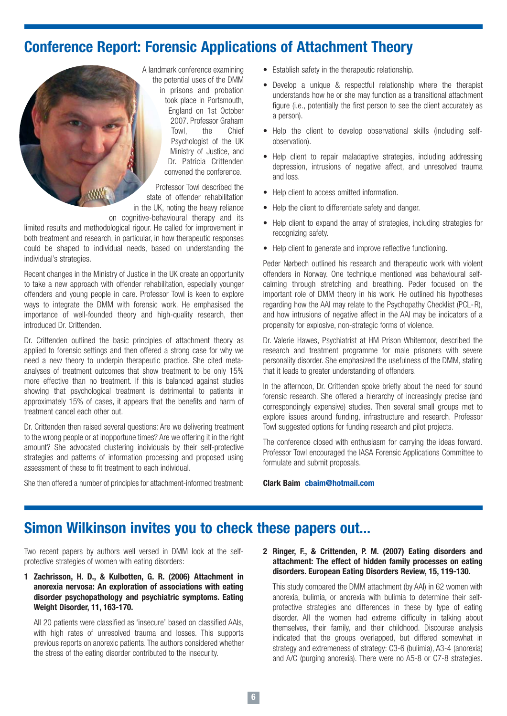# **Conference Report: Forensic Applications of Attachment Theory**



A landmark conference examining the potential uses of the DMM in prisons and probation took place in Portsmouth, England on 1st October 2007. Professor Graham Towl, the Chief Psychologist of the UK Ministry of Justice, and Dr. Patricia Crittenden convened the conference.

Professor Towl described the state of offender rehabilitation in the UK, noting the heavy reliance on cognitive-behavioural therapy and its

limited results and methodological rigour. He called for improvement in both treatment and research, in particular, in how therapeutic responses could be shaped to individual needs, based on understanding the individual's strategies.

Recent changes in the Ministry of Justice in the UK create an opportunity to take a new approach with offender rehabilitation, especially younger offenders and young people in care. Professor Towl is keen to explore ways to integrate the DMM with forensic work. He emphasised the importance of well-founded theory and high-quality research, then introduced Dr. Crittenden.

Dr. Crittenden outlined the basic principles of attachment theory as applied to forensic settings and then offered a strong case for why we need a new theory to underpin therapeutic practice. She cited metaanalyses of treatment outcomes that show treatment to be only 15% more effective than no treatment. If this is balanced against studies showing that psychological treatment is detrimental to patients in approximately 15% of cases, it appears that the benefits and harm of treatment cancel each other out.

Dr. Crittenden then raised several questions: Are we delivering treatment to the wrong people or at inopportune times? Are we offering it in the right amount? She advocated clustering individuals by their self-protective strategies and patterns of information processing and proposed using assessment of these to fit treatment to each individual.

She then offered a number of principles for attachment-informed treatment:

- Establish safety in the therapeutic relationship.
- Develop a unique & respectful relationship where the therapist understands how he or she may function as a transitional attachment figure (i.e., potentially the first person to see the client accurately as a person).
- Help the client to develop observational skills (including selfobservation).
- Help client to repair maladaptive strategies, including addressing depression, intrusions of negative affect, and unresolved trauma and loss.
- Help client to access omitted information.
- Help the client to differentiate safety and danger.
- Help client to expand the array of strategies, including strategies for recognizing safety.
- Help client to generate and improve reflective functioning.

Peder Nørbech outlined his research and therapeutic work with violent offenders in Norway. One technique mentioned was behavioural selfcalming through stretching and breathing. Peder focused on the important role of DMM theory in his work. He outlined his hypotheses regarding how the AAI may relate to the Psychopathy Checklist (PCL-R), and how intrusions of negative affect in the AAI may be indicators of a propensity for explosive, non-strategic forms of violence.

Dr. Valerie Hawes, Psychiatrist at HM Prison Whitemoor, described the research and treatment programme for male prisoners with severe personality disorder. She emphasized the usefulness of the DMM, stating that it leads to greater understanding of offenders.

In the afternoon, Dr. Crittenden spoke briefly about the need for sound forensic research. She offered a hierarchy of increasingly precise (and correspondingly expensive) studies. Then several small groups met to explore issues around funding, infrastructure and research. Professor Towl suggested options for funding research and pilot projects.

The conference closed with enthusiasm for carrying the ideas forward. Professor Towl encouraged the IASA Forensic Applications Committee to formulate and submit proposals.

**Clark Baim cbaim@hotmail.com**

# **Simon Wilkinson invites you to check these papers out...**

Two recent papers by authors well versed in DMM look at the selfprotective strategies of women with eating disorders:

**1 Zachrisson, H. D., & Kulbotten, G. R. (2006) Attachment in anorexia nervosa: An exploration of associations with eating disorder psychopathology and psychiatric symptoms. Eating Weight Disorder, 11, 163-170.**

All 20 patients were classified as 'insecure' based on classified AAIs, with high rates of unresolved trauma and losses. This supports previous reports on anorexic patients. The authors considered whether the stress of the eating disorder contributed to the insecurity.

**2 Ringer, F., & Crittenden, P. M. (2007) Eating disorders and attachment: The effect of hidden family processes on eating disorders. European Eating Disorders Review, 15, 119-130.**

This study compared the DMM attachment (by AAI) in 62 women with anorexia, bulimia, or anorexia with bulimia to determine their selfprotective strategies and differences in these by type of eating disorder. All the women had extreme difficulty in talking about themselves, their family, and their childhood. Discourse analysis indicated that the groups overlapped, but differed somewhat in strategy and extremeness of strategy: C3-6 (bulimia), A3-4 (anorexia) and A/C (purging anorexia). There were no A5-8 or C7-8 strategies.